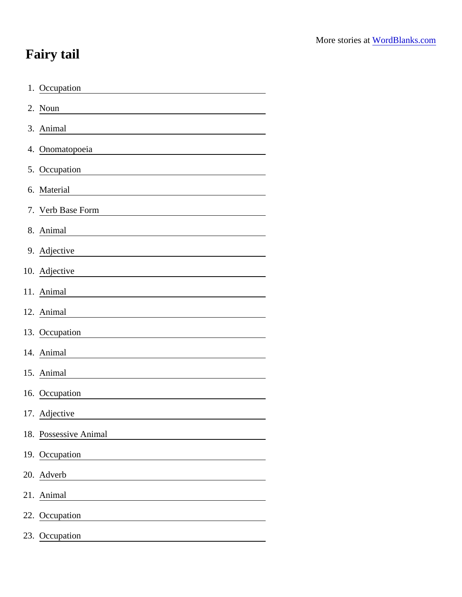## Fairy tail

| 1. Occupation                                                                                                                         |
|---------------------------------------------------------------------------------------------------------------------------------------|
| 2. Noun                                                                                                                               |
| 3. Animal                                                                                                                             |
| 4. Onomatopoeia                                                                                                                       |
| 5. Occupation                                                                                                                         |
| 6. Material                                                                                                                           |
| 7. Verb Base Form                                                                                                                     |
| 8. Animal                                                                                                                             |
| 9. Adjective                                                                                                                          |
| 10. Adjective<br><u> 1980 - Johann Barn, mars ann an t-Amhain Aonaich an t-Aonaich an t-Aonaich ann an t-Aonaich ann an t-Aonaich</u> |
| 11. Animal                                                                                                                            |
| 12. Animal                                                                                                                            |
| 13. Occupation                                                                                                                        |
| 14. Animal                                                                                                                            |
| 15. Animal                                                                                                                            |
| 16. Occupation                                                                                                                        |
| 17. Adjective                                                                                                                         |
| 18. Possessive Animal                                                                                                                 |
| 19. Occupation<br><u>and the state of the state of the state</u>                                                                      |
| 20. Adverb<br><u> 1980 - Johann Stein, fransk politik (d. 1980)</u>                                                                   |
| 21. Animal                                                                                                                            |
| 22. Occupation                                                                                                                        |
| 23. Occupation                                                                                                                        |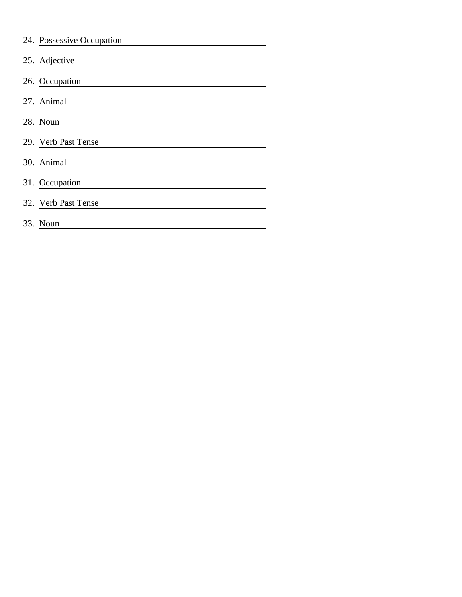| 24. Possessive Occupation |
|---------------------------|
| 25. Adjective             |
| 26. Occupation            |
| 27. Animal                |
| 28. Noun                  |
| 29. Verb Past Tense       |
| 30. Animal                |
| 31. Occupation            |
| 32. Verb Past Tense       |
| 33. Noun                  |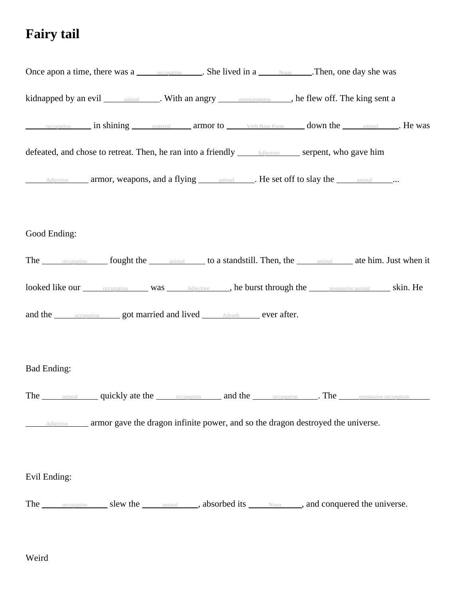## **Fairy tail**

| Once apon a time, there was a <u>compation</u> She lived in a <u>second</u> . Then, one day she was           |  |  |
|---------------------------------------------------------------------------------------------------------------|--|--|
| kidnapped by an evil ___________________. With an angry _______________________, he flew off. The king sent a |  |  |
|                                                                                                               |  |  |
|                                                                                                               |  |  |
| Adjective armor, weapons, and a flying animal Marsh He set off to slay the animal Marsh 2.                    |  |  |
|                                                                                                               |  |  |
| Good Ending:                                                                                                  |  |  |
| The <u>cocupation</u> fought the animal to a standstill. Then, the animal ate him. Just when it               |  |  |
| looked like our occupation was Adjective , he burst through the possessive animal skin. He                    |  |  |
| and the <b>compation</b> got married and lived <b>Adverb</b> ever after.                                      |  |  |
|                                                                                                               |  |  |
| <b>Bad Ending:</b>                                                                                            |  |  |
| The animal quickly ate the occupation and the occupation . The possessive occupation                          |  |  |
| Adjective ______ armor gave the dragon infinite power, and so the dragon destroyed the universe.              |  |  |
|                                                                                                               |  |  |
| Evil Ending:                                                                                                  |  |  |
| The <u>cocupation</u> slew the <u>community</u> , absorbed its <b>Noun</b> , and conquered the universe.      |  |  |

Weird